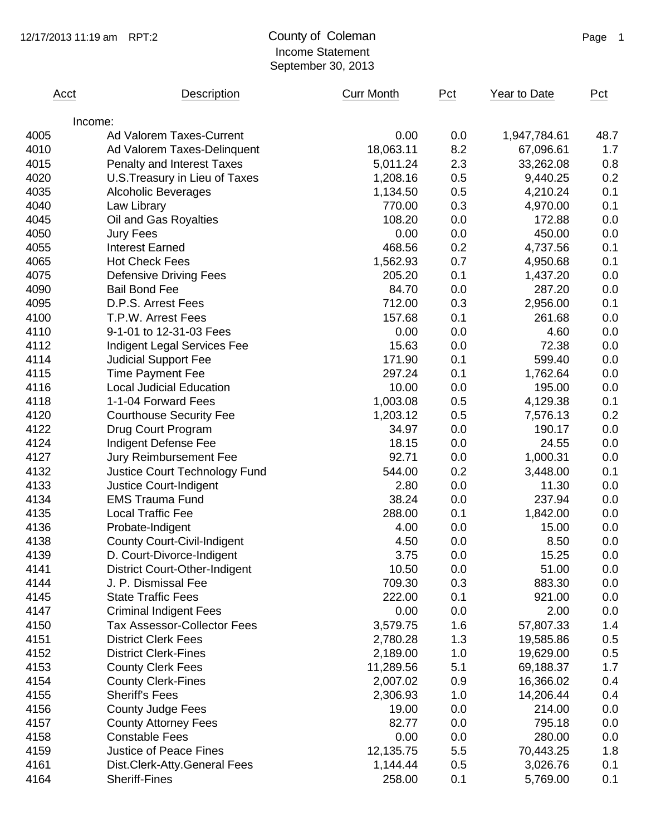## Income Statement September 30, 2013

| Acct | Description                          | <b>Curr Month</b> | Pct | Year to Date | Pct  |
|------|--------------------------------------|-------------------|-----|--------------|------|
|      | Income:                              |                   |     |              |      |
| 4005 | Ad Valorem Taxes-Current             | 0.00              | 0.0 | 1,947,784.61 | 48.7 |
| 4010 | Ad Valorem Taxes-Delinquent          | 18,063.11         | 8.2 | 67,096.61    | 1.7  |
| 4015 | <b>Penalty and Interest Taxes</b>    | 5,011.24          | 2.3 | 33,262.08    | 0.8  |
| 4020 | U.S. Treasury in Lieu of Taxes       | 1,208.16          | 0.5 | 9,440.25     | 0.2  |
| 4035 | <b>Alcoholic Beverages</b>           | 1,134.50          | 0.5 | 4,210.24     | 0.1  |
| 4040 | Law Library                          | 770.00            | 0.3 | 4,970.00     | 0.1  |
| 4045 | Oil and Gas Royalties                | 108.20            | 0.0 | 172.88       | 0.0  |
| 4050 | Jury Fees                            | 0.00              | 0.0 | 450.00       | 0.0  |
| 4055 | <b>Interest Earned</b>               | 468.56            | 0.2 | 4,737.56     | 0.1  |
| 4065 | <b>Hot Check Fees</b>                | 1,562.93          | 0.7 | 4,950.68     | 0.1  |
| 4075 | <b>Defensive Driving Fees</b>        | 205.20            | 0.1 | 1,437.20     | 0.0  |
| 4090 | <b>Bail Bond Fee</b>                 | 84.70             | 0.0 | 287.20       | 0.0  |
| 4095 | D.P.S. Arrest Fees                   | 712.00            | 0.3 | 2,956.00     | 0.1  |
| 4100 | T.P.W. Arrest Fees                   | 157.68            | 0.1 | 261.68       | 0.0  |
| 4110 | 9-1-01 to 12-31-03 Fees              | 0.00              | 0.0 | 4.60         | 0.0  |
| 4112 | <b>Indigent Legal Services Fee</b>   | 15.63             | 0.0 | 72.38        | 0.0  |
| 4114 | <b>Judicial Support Fee</b>          | 171.90            | 0.1 | 599.40       | 0.0  |
| 4115 | <b>Time Payment Fee</b>              | 297.24            | 0.1 | 1,762.64     | 0.0  |
| 4116 | <b>Local Judicial Education</b>      | 10.00             | 0.0 | 195.00       | 0.0  |
| 4118 | 1-1-04 Forward Fees                  | 1,003.08          | 0.5 | 4,129.38     | 0.1  |
| 4120 | <b>Courthouse Security Fee</b>       | 1,203.12          | 0.5 | 7,576.13     | 0.2  |
| 4122 | Drug Court Program                   | 34.97             | 0.0 | 190.17       | 0.0  |
| 4124 | Indigent Defense Fee                 | 18.15             | 0.0 | 24.55        | 0.0  |
| 4127 | Jury Reimbursement Fee               | 92.71             | 0.0 | 1,000.31     | 0.0  |
| 4132 | Justice Court Technology Fund        | 544.00            | 0.2 | 3,448.00     | 0.1  |
| 4133 | Justice Court-Indigent               | 2.80              | 0.0 | 11.30        | 0.0  |
| 4134 | <b>EMS Trauma Fund</b>               | 38.24             | 0.0 | 237.94       | 0.0  |
| 4135 | <b>Local Traffic Fee</b>             | 288.00            | 0.1 | 1,842.00     | 0.0  |
| 4136 | Probate-Indigent                     | 4.00              | 0.0 | 15.00        | 0.0  |
| 4138 | <b>County Court-Civil-Indigent</b>   | 4.50              | 0.0 | 8.50         | 0.0  |
| 4139 | D. Court-Divorce-Indigent            | 3.75              | 0.0 | 15.25        | 0.0  |
| 4141 | <b>District Court-Other-Indigent</b> | 10.50             | 0.0 | 51.00        | 0.0  |
| 4144 | J. P. Dismissal Fee                  | 709.30            | 0.3 | 883.30       | 0.0  |
| 4145 | <b>State Traffic Fees</b>            | 222.00            | 0.1 | 921.00       | 0.0  |
| 4147 | <b>Criminal Indigent Fees</b>        | 0.00              | 0.0 | 2.00         | 0.0  |
| 4150 | <b>Tax Assessor-Collector Fees</b>   | 3,579.75          | 1.6 | 57,807.33    | 1.4  |
| 4151 | <b>District Clerk Fees</b>           | 2,780.28          | 1.3 | 19,585.86    | 0.5  |
| 4152 | <b>District Clerk-Fines</b>          | 2,189.00          | 1.0 | 19,629.00    | 0.5  |
| 4153 | <b>County Clerk Fees</b>             | 11,289.56         | 5.1 | 69,188.37    | 1.7  |
| 4154 | <b>County Clerk-Fines</b>            | 2,007.02          | 0.9 | 16,366.02    | 0.4  |
| 4155 | <b>Sheriff's Fees</b>                | 2,306.93          | 1.0 | 14,206.44    | 0.4  |
| 4156 | <b>County Judge Fees</b>             | 19.00             | 0.0 | 214.00       | 0.0  |
| 4157 | <b>County Attorney Fees</b>          | 82.77             | 0.0 | 795.18       | 0.0  |
| 4158 | <b>Constable Fees</b>                | 0.00              | 0.0 | 280.00       | 0.0  |
| 4159 | <b>Justice of Peace Fines</b>        | 12,135.75         | 5.5 | 70,443.25    | 1.8  |
| 4161 | Dist.Clerk-Atty.General Fees         | 1,144.44          | 0.5 | 3,026.76     | 0.1  |
| 4164 | <b>Sheriff-Fines</b>                 | 258.00            | 0.1 | 5,769.00     | 0.1  |
|      |                                      |                   |     |              |      |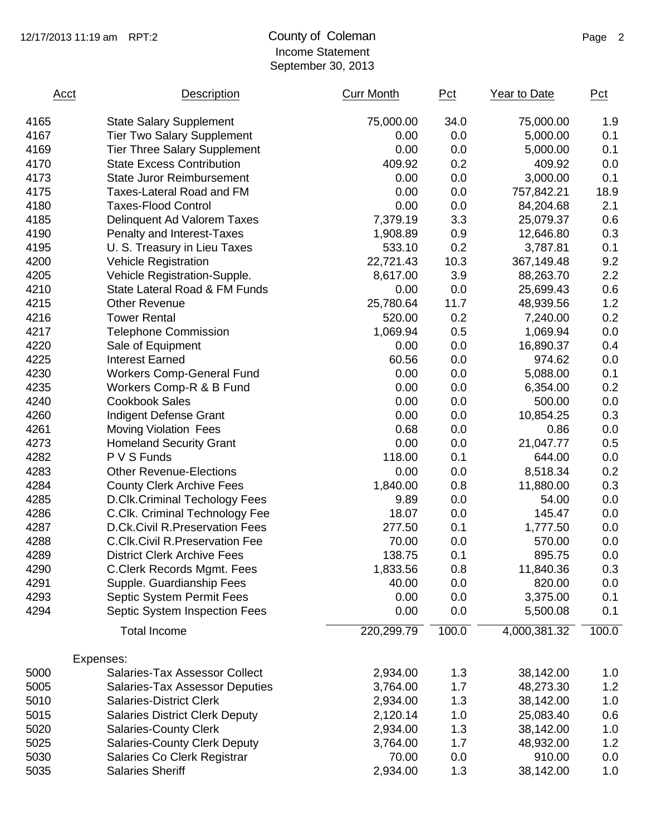### 12/17/2013 11:19 am RPT:2 County of Coleman Page 2 Income Statement September 30, 2013

| 75,000.00<br>4165<br><b>State Salary Supplement</b><br>34.0<br>75,000.00<br>0.0<br>4167<br><b>Tier Two Salary Supplement</b><br>0.00<br>5,000.00<br>0.00<br>4169<br><b>Tier Three Salary Supplement</b><br>0.0<br>5,000.00<br>4170<br><b>State Excess Contribution</b><br>409.92<br>0.2<br>409.92<br>4173<br><b>State Juror Reimbursement</b><br>0.00<br>0.0<br>3,000.00<br>0.00<br>4175<br>Taxes-Lateral Road and FM<br>0.0<br>757,842.21<br>0.00<br>0.0<br>4180<br><b>Taxes-Flood Control</b><br>84,204.68<br>3.3<br>4185<br>7,379.19<br>Delinquent Ad Valorem Taxes<br>25,079.37<br>4190<br>0.9<br>Penalty and Interest-Taxes<br>1,908.89<br>12,646.80<br>0.2<br>4195<br>533.10<br>3,787.81<br>U. S. Treasury in Lieu Taxes<br>10.3<br>4200<br>22,721.43<br><b>Vehicle Registration</b><br>367,149.48<br>3.9<br>4205<br>8,617.00<br>Vehicle Registration-Supple.<br>88,263.70<br>4210<br>0.0<br>State Lateral Road & FM Funds<br>0.00<br>25,699.43<br>4215<br><b>Other Revenue</b><br>25,780.64<br>11.7<br>48,939.56<br>4216<br><b>Tower Rental</b><br>520.00<br>0.2<br>7,240.00<br>4217<br><b>Telephone Commission</b><br>1,069.94<br>0.5<br>1,069.94<br>4220<br>0.00<br>0.0<br>16,890.37<br>Sale of Equipment<br>4225<br><b>Interest Earned</b><br>60.56<br>0.0<br>974.62<br>0.00<br>4230<br><b>Workers Comp-General Fund</b><br>0.0<br>5,088.00<br>0.00<br>4235<br>0.0<br>Workers Comp-R & B Fund<br>6,354.00<br>4240<br>0.00<br>0.0<br><b>Cookbook Sales</b><br>500.00<br>4260<br>0.00<br>Indigent Defense Grant<br>0.0<br>10,854.25<br>0.68<br>4261<br>0.0<br>0.86<br><b>Moving Violation Fees</b><br>0.00<br>4273<br>0.0<br><b>Homeland Security Grant</b><br>21,047.77<br>4282<br>P V S Funds<br>118.00<br>0.1<br>644.00<br>4283<br><b>Other Revenue-Elections</b><br>0.00<br>0.0<br>8,518.34<br>4284<br><b>County Clerk Archive Fees</b><br>1,840.00<br>0.8<br>11,880.00<br>4285<br><b>D.Clk.Criminal Techology Fees</b><br>9.89<br>0.0<br>54.00<br>4286<br>C.Clk. Criminal Technology Fee<br>18.07<br>0.0<br>145.47<br>4287<br>277.50<br>0.1<br>D.Ck.Civil R.Preservation Fees<br>1,777.50<br>4288<br><b>C.Clk.Civil R.Preservation Fee</b><br>70.00<br>0.0<br>570.00<br>4289<br><b>District Clerk Archive Fees</b><br>138.75<br>0.1<br>895.75<br>1,833.56<br>4290<br>C.Clerk Records Mgmt. Fees<br>0.8<br>11,840.36<br>4291<br>Supple. Guardianship Fees<br>40.00<br>0.0<br>820.00<br>4293<br><b>Septic System Permit Fees</b><br>0.00<br>0.0<br>3,375.00<br>0.00<br>4294<br>Septic System Inspection Fees<br>0.0<br>5,500.08<br>220,299.79<br>100.0<br>4,000,381.32<br><b>Total Income</b><br>Expenses:<br>5000<br>Salaries-Tax Assessor Collect<br>2,934.00<br>1.3<br>38,142.00 | Acct | Description                           | <b>Curr Month</b> | Pct | Year to Date | Pct     |
|------------------------------------------------------------------------------------------------------------------------------------------------------------------------------------------------------------------------------------------------------------------------------------------------------------------------------------------------------------------------------------------------------------------------------------------------------------------------------------------------------------------------------------------------------------------------------------------------------------------------------------------------------------------------------------------------------------------------------------------------------------------------------------------------------------------------------------------------------------------------------------------------------------------------------------------------------------------------------------------------------------------------------------------------------------------------------------------------------------------------------------------------------------------------------------------------------------------------------------------------------------------------------------------------------------------------------------------------------------------------------------------------------------------------------------------------------------------------------------------------------------------------------------------------------------------------------------------------------------------------------------------------------------------------------------------------------------------------------------------------------------------------------------------------------------------------------------------------------------------------------------------------------------------------------------------------------------------------------------------------------------------------------------------------------------------------------------------------------------------------------------------------------------------------------------------------------------------------------------------------------------------------------------------------------------------------------------------------------------------------------------------------------------------------------------------------------------------------------------------------------------------------------------------------------------------------------------------------------------------------------------------------------------------------------------------------|------|---------------------------------------|-------------------|-----|--------------|---------|
|                                                                                                                                                                                                                                                                                                                                                                                                                                                                                                                                                                                                                                                                                                                                                                                                                                                                                                                                                                                                                                                                                                                                                                                                                                                                                                                                                                                                                                                                                                                                                                                                                                                                                                                                                                                                                                                                                                                                                                                                                                                                                                                                                                                                                                                                                                                                                                                                                                                                                                                                                                                                                                                                                                |      |                                       |                   |     |              | 1.9     |
|                                                                                                                                                                                                                                                                                                                                                                                                                                                                                                                                                                                                                                                                                                                                                                                                                                                                                                                                                                                                                                                                                                                                                                                                                                                                                                                                                                                                                                                                                                                                                                                                                                                                                                                                                                                                                                                                                                                                                                                                                                                                                                                                                                                                                                                                                                                                                                                                                                                                                                                                                                                                                                                                                                |      |                                       |                   |     |              | 0.1     |
|                                                                                                                                                                                                                                                                                                                                                                                                                                                                                                                                                                                                                                                                                                                                                                                                                                                                                                                                                                                                                                                                                                                                                                                                                                                                                                                                                                                                                                                                                                                                                                                                                                                                                                                                                                                                                                                                                                                                                                                                                                                                                                                                                                                                                                                                                                                                                                                                                                                                                                                                                                                                                                                                                                |      |                                       |                   |     |              | 0.1     |
|                                                                                                                                                                                                                                                                                                                                                                                                                                                                                                                                                                                                                                                                                                                                                                                                                                                                                                                                                                                                                                                                                                                                                                                                                                                                                                                                                                                                                                                                                                                                                                                                                                                                                                                                                                                                                                                                                                                                                                                                                                                                                                                                                                                                                                                                                                                                                                                                                                                                                                                                                                                                                                                                                                |      |                                       |                   |     |              | 0.0     |
|                                                                                                                                                                                                                                                                                                                                                                                                                                                                                                                                                                                                                                                                                                                                                                                                                                                                                                                                                                                                                                                                                                                                                                                                                                                                                                                                                                                                                                                                                                                                                                                                                                                                                                                                                                                                                                                                                                                                                                                                                                                                                                                                                                                                                                                                                                                                                                                                                                                                                                                                                                                                                                                                                                |      |                                       |                   |     |              | 0.1     |
|                                                                                                                                                                                                                                                                                                                                                                                                                                                                                                                                                                                                                                                                                                                                                                                                                                                                                                                                                                                                                                                                                                                                                                                                                                                                                                                                                                                                                                                                                                                                                                                                                                                                                                                                                                                                                                                                                                                                                                                                                                                                                                                                                                                                                                                                                                                                                                                                                                                                                                                                                                                                                                                                                                |      |                                       |                   |     |              | 18.9    |
|                                                                                                                                                                                                                                                                                                                                                                                                                                                                                                                                                                                                                                                                                                                                                                                                                                                                                                                                                                                                                                                                                                                                                                                                                                                                                                                                                                                                                                                                                                                                                                                                                                                                                                                                                                                                                                                                                                                                                                                                                                                                                                                                                                                                                                                                                                                                                                                                                                                                                                                                                                                                                                                                                                |      |                                       |                   |     |              | 2.1     |
|                                                                                                                                                                                                                                                                                                                                                                                                                                                                                                                                                                                                                                                                                                                                                                                                                                                                                                                                                                                                                                                                                                                                                                                                                                                                                                                                                                                                                                                                                                                                                                                                                                                                                                                                                                                                                                                                                                                                                                                                                                                                                                                                                                                                                                                                                                                                                                                                                                                                                                                                                                                                                                                                                                |      |                                       |                   |     |              | 0.6     |
|                                                                                                                                                                                                                                                                                                                                                                                                                                                                                                                                                                                                                                                                                                                                                                                                                                                                                                                                                                                                                                                                                                                                                                                                                                                                                                                                                                                                                                                                                                                                                                                                                                                                                                                                                                                                                                                                                                                                                                                                                                                                                                                                                                                                                                                                                                                                                                                                                                                                                                                                                                                                                                                                                                |      |                                       |                   |     |              | 0.3     |
|                                                                                                                                                                                                                                                                                                                                                                                                                                                                                                                                                                                                                                                                                                                                                                                                                                                                                                                                                                                                                                                                                                                                                                                                                                                                                                                                                                                                                                                                                                                                                                                                                                                                                                                                                                                                                                                                                                                                                                                                                                                                                                                                                                                                                                                                                                                                                                                                                                                                                                                                                                                                                                                                                                |      |                                       |                   |     |              | 0.1     |
|                                                                                                                                                                                                                                                                                                                                                                                                                                                                                                                                                                                                                                                                                                                                                                                                                                                                                                                                                                                                                                                                                                                                                                                                                                                                                                                                                                                                                                                                                                                                                                                                                                                                                                                                                                                                                                                                                                                                                                                                                                                                                                                                                                                                                                                                                                                                                                                                                                                                                                                                                                                                                                                                                                |      |                                       |                   |     |              | 9.2     |
|                                                                                                                                                                                                                                                                                                                                                                                                                                                                                                                                                                                                                                                                                                                                                                                                                                                                                                                                                                                                                                                                                                                                                                                                                                                                                                                                                                                                                                                                                                                                                                                                                                                                                                                                                                                                                                                                                                                                                                                                                                                                                                                                                                                                                                                                                                                                                                                                                                                                                                                                                                                                                                                                                                |      |                                       |                   |     |              | 2.2     |
|                                                                                                                                                                                                                                                                                                                                                                                                                                                                                                                                                                                                                                                                                                                                                                                                                                                                                                                                                                                                                                                                                                                                                                                                                                                                                                                                                                                                                                                                                                                                                                                                                                                                                                                                                                                                                                                                                                                                                                                                                                                                                                                                                                                                                                                                                                                                                                                                                                                                                                                                                                                                                                                                                                |      |                                       |                   |     |              | 0.6     |
|                                                                                                                                                                                                                                                                                                                                                                                                                                                                                                                                                                                                                                                                                                                                                                                                                                                                                                                                                                                                                                                                                                                                                                                                                                                                                                                                                                                                                                                                                                                                                                                                                                                                                                                                                                                                                                                                                                                                                                                                                                                                                                                                                                                                                                                                                                                                                                                                                                                                                                                                                                                                                                                                                                |      |                                       |                   |     |              | 1.2     |
|                                                                                                                                                                                                                                                                                                                                                                                                                                                                                                                                                                                                                                                                                                                                                                                                                                                                                                                                                                                                                                                                                                                                                                                                                                                                                                                                                                                                                                                                                                                                                                                                                                                                                                                                                                                                                                                                                                                                                                                                                                                                                                                                                                                                                                                                                                                                                                                                                                                                                                                                                                                                                                                                                                |      |                                       |                   |     |              | 0.2     |
|                                                                                                                                                                                                                                                                                                                                                                                                                                                                                                                                                                                                                                                                                                                                                                                                                                                                                                                                                                                                                                                                                                                                                                                                                                                                                                                                                                                                                                                                                                                                                                                                                                                                                                                                                                                                                                                                                                                                                                                                                                                                                                                                                                                                                                                                                                                                                                                                                                                                                                                                                                                                                                                                                                |      |                                       |                   |     |              | 0.0     |
|                                                                                                                                                                                                                                                                                                                                                                                                                                                                                                                                                                                                                                                                                                                                                                                                                                                                                                                                                                                                                                                                                                                                                                                                                                                                                                                                                                                                                                                                                                                                                                                                                                                                                                                                                                                                                                                                                                                                                                                                                                                                                                                                                                                                                                                                                                                                                                                                                                                                                                                                                                                                                                                                                                |      |                                       |                   |     |              | 0.4     |
|                                                                                                                                                                                                                                                                                                                                                                                                                                                                                                                                                                                                                                                                                                                                                                                                                                                                                                                                                                                                                                                                                                                                                                                                                                                                                                                                                                                                                                                                                                                                                                                                                                                                                                                                                                                                                                                                                                                                                                                                                                                                                                                                                                                                                                                                                                                                                                                                                                                                                                                                                                                                                                                                                                |      |                                       |                   |     |              | 0.0     |
|                                                                                                                                                                                                                                                                                                                                                                                                                                                                                                                                                                                                                                                                                                                                                                                                                                                                                                                                                                                                                                                                                                                                                                                                                                                                                                                                                                                                                                                                                                                                                                                                                                                                                                                                                                                                                                                                                                                                                                                                                                                                                                                                                                                                                                                                                                                                                                                                                                                                                                                                                                                                                                                                                                |      |                                       |                   |     |              | 0.1     |
|                                                                                                                                                                                                                                                                                                                                                                                                                                                                                                                                                                                                                                                                                                                                                                                                                                                                                                                                                                                                                                                                                                                                                                                                                                                                                                                                                                                                                                                                                                                                                                                                                                                                                                                                                                                                                                                                                                                                                                                                                                                                                                                                                                                                                                                                                                                                                                                                                                                                                                                                                                                                                                                                                                |      |                                       |                   |     |              | 0.2     |
|                                                                                                                                                                                                                                                                                                                                                                                                                                                                                                                                                                                                                                                                                                                                                                                                                                                                                                                                                                                                                                                                                                                                                                                                                                                                                                                                                                                                                                                                                                                                                                                                                                                                                                                                                                                                                                                                                                                                                                                                                                                                                                                                                                                                                                                                                                                                                                                                                                                                                                                                                                                                                                                                                                |      |                                       |                   |     |              | 0.0     |
|                                                                                                                                                                                                                                                                                                                                                                                                                                                                                                                                                                                                                                                                                                                                                                                                                                                                                                                                                                                                                                                                                                                                                                                                                                                                                                                                                                                                                                                                                                                                                                                                                                                                                                                                                                                                                                                                                                                                                                                                                                                                                                                                                                                                                                                                                                                                                                                                                                                                                                                                                                                                                                                                                                |      |                                       |                   |     |              | 0.3     |
|                                                                                                                                                                                                                                                                                                                                                                                                                                                                                                                                                                                                                                                                                                                                                                                                                                                                                                                                                                                                                                                                                                                                                                                                                                                                                                                                                                                                                                                                                                                                                                                                                                                                                                                                                                                                                                                                                                                                                                                                                                                                                                                                                                                                                                                                                                                                                                                                                                                                                                                                                                                                                                                                                                |      |                                       |                   |     |              | 0.0     |
|                                                                                                                                                                                                                                                                                                                                                                                                                                                                                                                                                                                                                                                                                                                                                                                                                                                                                                                                                                                                                                                                                                                                                                                                                                                                                                                                                                                                                                                                                                                                                                                                                                                                                                                                                                                                                                                                                                                                                                                                                                                                                                                                                                                                                                                                                                                                                                                                                                                                                                                                                                                                                                                                                                |      |                                       |                   |     |              | 0.5     |
|                                                                                                                                                                                                                                                                                                                                                                                                                                                                                                                                                                                                                                                                                                                                                                                                                                                                                                                                                                                                                                                                                                                                                                                                                                                                                                                                                                                                                                                                                                                                                                                                                                                                                                                                                                                                                                                                                                                                                                                                                                                                                                                                                                                                                                                                                                                                                                                                                                                                                                                                                                                                                                                                                                |      |                                       |                   |     |              | 0.0     |
|                                                                                                                                                                                                                                                                                                                                                                                                                                                                                                                                                                                                                                                                                                                                                                                                                                                                                                                                                                                                                                                                                                                                                                                                                                                                                                                                                                                                                                                                                                                                                                                                                                                                                                                                                                                                                                                                                                                                                                                                                                                                                                                                                                                                                                                                                                                                                                                                                                                                                                                                                                                                                                                                                                |      |                                       |                   |     |              | 0.2     |
|                                                                                                                                                                                                                                                                                                                                                                                                                                                                                                                                                                                                                                                                                                                                                                                                                                                                                                                                                                                                                                                                                                                                                                                                                                                                                                                                                                                                                                                                                                                                                                                                                                                                                                                                                                                                                                                                                                                                                                                                                                                                                                                                                                                                                                                                                                                                                                                                                                                                                                                                                                                                                                                                                                |      |                                       |                   |     |              | 0.3     |
|                                                                                                                                                                                                                                                                                                                                                                                                                                                                                                                                                                                                                                                                                                                                                                                                                                                                                                                                                                                                                                                                                                                                                                                                                                                                                                                                                                                                                                                                                                                                                                                                                                                                                                                                                                                                                                                                                                                                                                                                                                                                                                                                                                                                                                                                                                                                                                                                                                                                                                                                                                                                                                                                                                |      |                                       |                   |     |              | 0.0     |
|                                                                                                                                                                                                                                                                                                                                                                                                                                                                                                                                                                                                                                                                                                                                                                                                                                                                                                                                                                                                                                                                                                                                                                                                                                                                                                                                                                                                                                                                                                                                                                                                                                                                                                                                                                                                                                                                                                                                                                                                                                                                                                                                                                                                                                                                                                                                                                                                                                                                                                                                                                                                                                                                                                |      |                                       |                   |     |              | $0.0\,$ |
|                                                                                                                                                                                                                                                                                                                                                                                                                                                                                                                                                                                                                                                                                                                                                                                                                                                                                                                                                                                                                                                                                                                                                                                                                                                                                                                                                                                                                                                                                                                                                                                                                                                                                                                                                                                                                                                                                                                                                                                                                                                                                                                                                                                                                                                                                                                                                                                                                                                                                                                                                                                                                                                                                                |      |                                       |                   |     |              | 0.0     |
|                                                                                                                                                                                                                                                                                                                                                                                                                                                                                                                                                                                                                                                                                                                                                                                                                                                                                                                                                                                                                                                                                                                                                                                                                                                                                                                                                                                                                                                                                                                                                                                                                                                                                                                                                                                                                                                                                                                                                                                                                                                                                                                                                                                                                                                                                                                                                                                                                                                                                                                                                                                                                                                                                                |      |                                       |                   |     |              | 0.0     |
|                                                                                                                                                                                                                                                                                                                                                                                                                                                                                                                                                                                                                                                                                                                                                                                                                                                                                                                                                                                                                                                                                                                                                                                                                                                                                                                                                                                                                                                                                                                                                                                                                                                                                                                                                                                                                                                                                                                                                                                                                                                                                                                                                                                                                                                                                                                                                                                                                                                                                                                                                                                                                                                                                                |      |                                       |                   |     |              | 0.0     |
|                                                                                                                                                                                                                                                                                                                                                                                                                                                                                                                                                                                                                                                                                                                                                                                                                                                                                                                                                                                                                                                                                                                                                                                                                                                                                                                                                                                                                                                                                                                                                                                                                                                                                                                                                                                                                                                                                                                                                                                                                                                                                                                                                                                                                                                                                                                                                                                                                                                                                                                                                                                                                                                                                                |      |                                       |                   |     |              | 0.3     |
|                                                                                                                                                                                                                                                                                                                                                                                                                                                                                                                                                                                                                                                                                                                                                                                                                                                                                                                                                                                                                                                                                                                                                                                                                                                                                                                                                                                                                                                                                                                                                                                                                                                                                                                                                                                                                                                                                                                                                                                                                                                                                                                                                                                                                                                                                                                                                                                                                                                                                                                                                                                                                                                                                                |      |                                       |                   |     |              | 0.0     |
|                                                                                                                                                                                                                                                                                                                                                                                                                                                                                                                                                                                                                                                                                                                                                                                                                                                                                                                                                                                                                                                                                                                                                                                                                                                                                                                                                                                                                                                                                                                                                                                                                                                                                                                                                                                                                                                                                                                                                                                                                                                                                                                                                                                                                                                                                                                                                                                                                                                                                                                                                                                                                                                                                                |      |                                       |                   |     |              | 0.1     |
|                                                                                                                                                                                                                                                                                                                                                                                                                                                                                                                                                                                                                                                                                                                                                                                                                                                                                                                                                                                                                                                                                                                                                                                                                                                                                                                                                                                                                                                                                                                                                                                                                                                                                                                                                                                                                                                                                                                                                                                                                                                                                                                                                                                                                                                                                                                                                                                                                                                                                                                                                                                                                                                                                                |      |                                       |                   |     |              | 0.1     |
|                                                                                                                                                                                                                                                                                                                                                                                                                                                                                                                                                                                                                                                                                                                                                                                                                                                                                                                                                                                                                                                                                                                                                                                                                                                                                                                                                                                                                                                                                                                                                                                                                                                                                                                                                                                                                                                                                                                                                                                                                                                                                                                                                                                                                                                                                                                                                                                                                                                                                                                                                                                                                                                                                                |      |                                       |                   |     |              | 100.0   |
|                                                                                                                                                                                                                                                                                                                                                                                                                                                                                                                                                                                                                                                                                                                                                                                                                                                                                                                                                                                                                                                                                                                                                                                                                                                                                                                                                                                                                                                                                                                                                                                                                                                                                                                                                                                                                                                                                                                                                                                                                                                                                                                                                                                                                                                                                                                                                                                                                                                                                                                                                                                                                                                                                                |      |                                       |                   |     |              |         |
|                                                                                                                                                                                                                                                                                                                                                                                                                                                                                                                                                                                                                                                                                                                                                                                                                                                                                                                                                                                                                                                                                                                                                                                                                                                                                                                                                                                                                                                                                                                                                                                                                                                                                                                                                                                                                                                                                                                                                                                                                                                                                                                                                                                                                                                                                                                                                                                                                                                                                                                                                                                                                                                                                                |      |                                       |                   |     |              | 1.0     |
|                                                                                                                                                                                                                                                                                                                                                                                                                                                                                                                                                                                                                                                                                                                                                                                                                                                                                                                                                                                                                                                                                                                                                                                                                                                                                                                                                                                                                                                                                                                                                                                                                                                                                                                                                                                                                                                                                                                                                                                                                                                                                                                                                                                                                                                                                                                                                                                                                                                                                                                                                                                                                                                                                                | 5005 | <b>Salaries-Tax Assessor Deputies</b> | 3,764.00          | 1.7 | 48,273.30    | 1.2     |
| 5010<br><b>Salaries-District Clerk</b><br>2,934.00<br>1.3<br>38,142.00                                                                                                                                                                                                                                                                                                                                                                                                                                                                                                                                                                                                                                                                                                                                                                                                                                                                                                                                                                                                                                                                                                                                                                                                                                                                                                                                                                                                                                                                                                                                                                                                                                                                                                                                                                                                                                                                                                                                                                                                                                                                                                                                                                                                                                                                                                                                                                                                                                                                                                                                                                                                                         |      |                                       |                   |     |              | 1.0     |
| 5015<br><b>Salaries District Clerk Deputy</b><br>2,120.14<br>1.0<br>25,083.40                                                                                                                                                                                                                                                                                                                                                                                                                                                                                                                                                                                                                                                                                                                                                                                                                                                                                                                                                                                                                                                                                                                                                                                                                                                                                                                                                                                                                                                                                                                                                                                                                                                                                                                                                                                                                                                                                                                                                                                                                                                                                                                                                                                                                                                                                                                                                                                                                                                                                                                                                                                                                  |      |                                       |                   |     |              | 0.6     |
| 5020<br><b>Salaries-County Clerk</b><br>2,934.00<br>38,142.00<br>1.3                                                                                                                                                                                                                                                                                                                                                                                                                                                                                                                                                                                                                                                                                                                                                                                                                                                                                                                                                                                                                                                                                                                                                                                                                                                                                                                                                                                                                                                                                                                                                                                                                                                                                                                                                                                                                                                                                                                                                                                                                                                                                                                                                                                                                                                                                                                                                                                                                                                                                                                                                                                                                           |      |                                       |                   |     |              | 1.0     |
| 5025<br><b>Salaries-County Clerk Deputy</b><br>3,764.00<br>1.7<br>48,932.00                                                                                                                                                                                                                                                                                                                                                                                                                                                                                                                                                                                                                                                                                                                                                                                                                                                                                                                                                                                                                                                                                                                                                                                                                                                                                                                                                                                                                                                                                                                                                                                                                                                                                                                                                                                                                                                                                                                                                                                                                                                                                                                                                                                                                                                                                                                                                                                                                                                                                                                                                                                                                    |      |                                       |                   |     |              | 1.2     |
| 5030<br>70.00<br>0.0<br>910.00<br>Salaries Co Clerk Registrar                                                                                                                                                                                                                                                                                                                                                                                                                                                                                                                                                                                                                                                                                                                                                                                                                                                                                                                                                                                                                                                                                                                                                                                                                                                                                                                                                                                                                                                                                                                                                                                                                                                                                                                                                                                                                                                                                                                                                                                                                                                                                                                                                                                                                                                                                                                                                                                                                                                                                                                                                                                                                                  |      |                                       |                   |     |              | 0.0     |
| 5035<br><b>Salaries Sheriff</b><br>2,934.00<br>1.3<br>38,142.00                                                                                                                                                                                                                                                                                                                                                                                                                                                                                                                                                                                                                                                                                                                                                                                                                                                                                                                                                                                                                                                                                                                                                                                                                                                                                                                                                                                                                                                                                                                                                                                                                                                                                                                                                                                                                                                                                                                                                                                                                                                                                                                                                                                                                                                                                                                                                                                                                                                                                                                                                                                                                                |      |                                       |                   |     |              | 1.0     |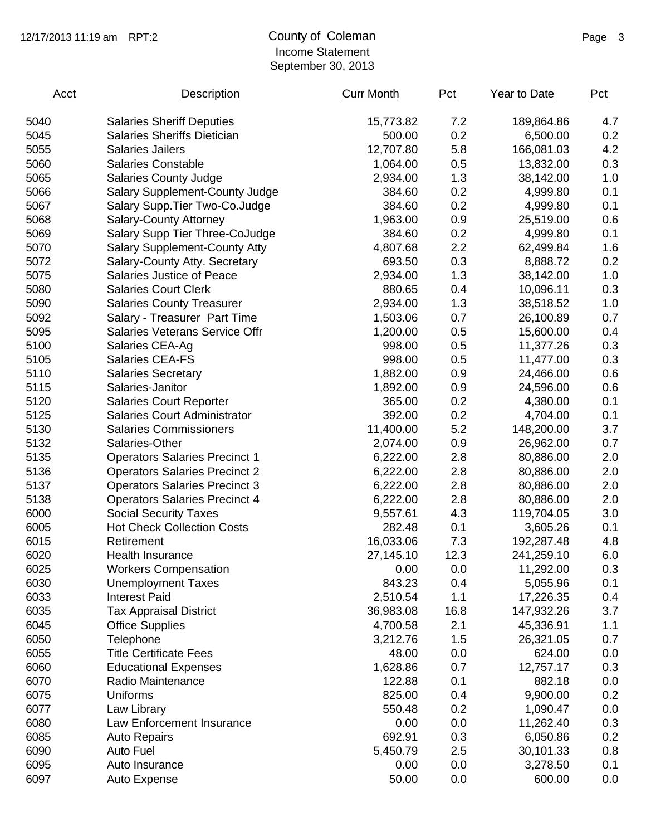### 12/17/2013 11:19 am RPT:2 County of Coleman Page 3 Income Statement September 30, 2013

| Acct | Description                           | <b>Curr Month</b> | Pct  | Year to Date | Pct |
|------|---------------------------------------|-------------------|------|--------------|-----|
| 5040 | <b>Salaries Sheriff Deputies</b>      | 15,773.82         | 7.2  | 189,864.86   | 4.7 |
| 5045 | Salaries Sheriffs Dietician           | 500.00            | 0.2  | 6,500.00     | 0.2 |
| 5055 | <b>Salaries Jailers</b>               | 12,707.80         | 5.8  | 166,081.03   | 4.2 |
| 5060 | <b>Salaries Constable</b>             | 1,064.00          | 0.5  | 13,832.00    | 0.3 |
| 5065 | <b>Salaries County Judge</b>          | 2,934.00          | 1.3  | 38,142.00    | 1.0 |
| 5066 | <b>Salary Supplement-County Judge</b> | 384.60            | 0.2  | 4,999.80     | 0.1 |
| 5067 | Salary Supp. Tier Two-Co. Judge       | 384.60            | 0.2  | 4,999.80     | 0.1 |
| 5068 | <b>Salary-County Attorney</b>         | 1,963.00          | 0.9  | 25,519.00    | 0.6 |
| 5069 | Salary Supp Tier Three-CoJudge        | 384.60            | 0.2  | 4,999.80     | 0.1 |
| 5070 | <b>Salary Supplement-County Atty</b>  | 4,807.68          | 2.2  | 62,499.84    | 1.6 |
| 5072 | Salary-County Atty. Secretary         | 693.50            | 0.3  | 8,888.72     | 0.2 |
| 5075 | Salaries Justice of Peace             | 2,934.00          | 1.3  | 38,142.00    | 1.0 |
| 5080 | <b>Salaries Court Clerk</b>           | 880.65            | 0.4  | 10,096.11    | 0.3 |
| 5090 | <b>Salaries County Treasurer</b>      | 2,934.00          | 1.3  | 38,518.52    | 1.0 |
| 5092 | Salary - Treasurer Part Time          | 1,503.06          | 0.7  | 26,100.89    | 0.7 |
| 5095 | <b>Salaries Veterans Service Offr</b> | 1,200.00          | 0.5  | 15,600.00    | 0.4 |
| 5100 | Salaries CEA-Ag                       | 998.00            | 0.5  | 11,377.26    | 0.3 |
| 5105 | Salaries CEA-FS                       | 998.00            | 0.5  | 11,477.00    | 0.3 |
| 5110 | <b>Salaries Secretary</b>             | 1,882.00          | 0.9  | 24,466.00    | 0.6 |
| 5115 | Salaries-Janitor                      | 1,892.00          | 0.9  | 24,596.00    | 0.6 |
| 5120 | <b>Salaries Court Reporter</b>        | 365.00            | 0.2  | 4,380.00     | 0.1 |
| 5125 | <b>Salaries Court Administrator</b>   | 392.00            | 0.2  | 4,704.00     | 0.1 |
| 5130 | <b>Salaries Commissioners</b>         | 11,400.00         | 5.2  | 148,200.00   | 3.7 |
| 5132 | Salaries-Other                        | 2,074.00          | 0.9  | 26,962.00    | 0.7 |
| 5135 | <b>Operators Salaries Precinct 1</b>  | 6,222.00          | 2.8  | 80,886.00    | 2.0 |
| 5136 | <b>Operators Salaries Precinct 2</b>  | 6,222.00          | 2.8  | 80,886.00    | 2.0 |
| 5137 | <b>Operators Salaries Precinct 3</b>  | 6,222.00          | 2.8  | 80,886.00    | 2.0 |
| 5138 | <b>Operators Salaries Precinct 4</b>  | 6,222.00          | 2.8  | 80,886.00    | 2.0 |
| 6000 | <b>Social Security Taxes</b>          | 9,557.61          | 4.3  | 119,704.05   | 3.0 |
| 6005 | <b>Hot Check Collection Costs</b>     | 282.48            | 0.1  | 3,605.26     | 0.1 |
| 6015 | Retirement                            | 16,033.06         | 7.3  | 192,287.48   | 4.8 |
| 6020 | <b>Health Insurance</b>               | 27,145.10         | 12.3 | 241,259.10   | 6.0 |
| 6025 | <b>Workers Compensation</b>           | 0.00              | 0.0  | 11,292.00    | 0.3 |
| 6030 | <b>Unemployment Taxes</b>             | 843.23            | 0.4  | 5,055.96     | 0.1 |
| 6033 | <b>Interest Paid</b>                  | 2,510.54          | 1.1  | 17,226.35    | 0.4 |
| 6035 | <b>Tax Appraisal District</b>         | 36,983.08         | 16.8 | 147,932.26   | 3.7 |
| 6045 | <b>Office Supplies</b>                | 4,700.58          | 2.1  | 45,336.91    | 1.1 |
| 6050 | Telephone                             | 3,212.76          | 1.5  | 26,321.05    | 0.7 |
| 6055 | <b>Title Certificate Fees</b>         | 48.00             | 0.0  | 624.00       | 0.0 |
| 6060 | <b>Educational Expenses</b>           | 1,628.86          | 0.7  | 12,757.17    | 0.3 |
| 6070 | Radio Maintenance                     | 122.88            | 0.1  | 882.18       | 0.0 |
| 6075 | Uniforms                              | 825.00            | 0.4  | 9,900.00     | 0.2 |
| 6077 | Law Library                           | 550.48            | 0.2  | 1,090.47     | 0.0 |
| 6080 | Law Enforcement Insurance             | 0.00              | 0.0  | 11,262.40    | 0.3 |
| 6085 | <b>Auto Repairs</b>                   | 692.91            | 0.3  | 6,050.86     | 0.2 |
| 6090 | <b>Auto Fuel</b>                      | 5,450.79          | 2.5  | 30,101.33    | 0.8 |
| 6095 | Auto Insurance                        | 0.00              | 0.0  | 3,278.50     | 0.1 |
| 6097 | Auto Expense                          | 50.00             | 0.0  | 600.00       | 0.0 |
|      |                                       |                   |      |              |     |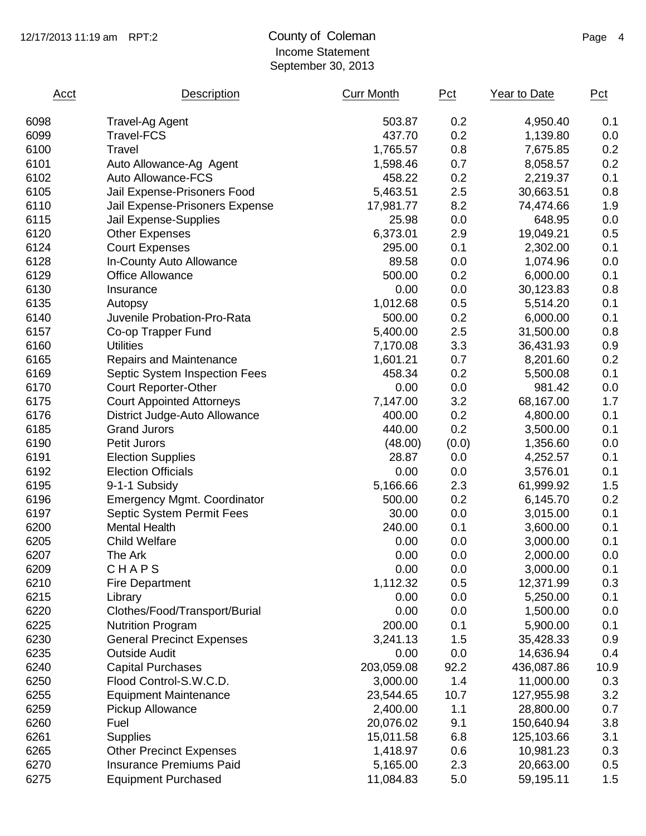### 12/17/2013 11:19 am RPT:2 County of Coleman Page 4 Income Statement September 30, 2013

| 503.87<br>0.2<br>6098<br>4,950.40<br><b>Travel-Ag Agent</b><br>0.2<br>6099<br><b>Travel-FCS</b><br>437.70<br>1,139.80<br>0.8<br>6100<br>Travel<br>1,765.57<br>7,675.85<br>6101<br>0.7<br>Auto Allowance-Ag Agent<br>1,598.46<br>8,058.57<br>0.2<br>6102<br>Auto Allowance-FCS<br>458.22<br>2,219.37<br>6105<br>Jail Expense-Prisoners Food<br>5,463.51<br>2.5<br>30,663.51<br>8.2<br>6110<br>Jail Expense-Prisoners Expense<br>17,981.77<br>74,474.66<br>6115<br>25.98<br>0.0<br>648.95<br>Jail Expense-Supplies<br>6120<br>6,373.01<br>2.9<br><b>Other Expenses</b><br>19,049.21<br>6124<br><b>Court Expenses</b><br>0.1<br>295.00<br>2,302.00<br>6128<br>In-County Auto Allowance<br>89.58<br>0.0<br>1,074.96<br>6129<br>0.2<br>500.00<br>6,000.00<br><b>Office Allowance</b><br>6130<br>0.0<br>0.00<br>30,123.83<br>Insurance<br>6135<br>0.5<br>1,012.68<br>5,514.20<br>Autopsy<br>0.2<br>6140<br>Juvenile Probation-Pro-Rata<br>500.00<br>6,000.00<br>2.5<br>6157<br>5,400.00<br>31,500.00<br>Co-op Trapper Fund<br>3.3<br>6160<br><b>Utilities</b><br>7,170.08<br>36,431.93 | Pct  |
|----------------------------------------------------------------------------------------------------------------------------------------------------------------------------------------------------------------------------------------------------------------------------------------------------------------------------------------------------------------------------------------------------------------------------------------------------------------------------------------------------------------------------------------------------------------------------------------------------------------------------------------------------------------------------------------------------------------------------------------------------------------------------------------------------------------------------------------------------------------------------------------------------------------------------------------------------------------------------------------------------------------------------------------------------------------------------------|------|
|                                                                                                                                                                                                                                                                                                                                                                                                                                                                                                                                                                                                                                                                                                                                                                                                                                                                                                                                                                                                                                                                                  | 0.1  |
|                                                                                                                                                                                                                                                                                                                                                                                                                                                                                                                                                                                                                                                                                                                                                                                                                                                                                                                                                                                                                                                                                  | 0.0  |
|                                                                                                                                                                                                                                                                                                                                                                                                                                                                                                                                                                                                                                                                                                                                                                                                                                                                                                                                                                                                                                                                                  | 0.2  |
|                                                                                                                                                                                                                                                                                                                                                                                                                                                                                                                                                                                                                                                                                                                                                                                                                                                                                                                                                                                                                                                                                  | 0.2  |
|                                                                                                                                                                                                                                                                                                                                                                                                                                                                                                                                                                                                                                                                                                                                                                                                                                                                                                                                                                                                                                                                                  | 0.1  |
|                                                                                                                                                                                                                                                                                                                                                                                                                                                                                                                                                                                                                                                                                                                                                                                                                                                                                                                                                                                                                                                                                  | 0.8  |
|                                                                                                                                                                                                                                                                                                                                                                                                                                                                                                                                                                                                                                                                                                                                                                                                                                                                                                                                                                                                                                                                                  | 1.9  |
|                                                                                                                                                                                                                                                                                                                                                                                                                                                                                                                                                                                                                                                                                                                                                                                                                                                                                                                                                                                                                                                                                  | 0.0  |
|                                                                                                                                                                                                                                                                                                                                                                                                                                                                                                                                                                                                                                                                                                                                                                                                                                                                                                                                                                                                                                                                                  | 0.5  |
|                                                                                                                                                                                                                                                                                                                                                                                                                                                                                                                                                                                                                                                                                                                                                                                                                                                                                                                                                                                                                                                                                  | 0.1  |
|                                                                                                                                                                                                                                                                                                                                                                                                                                                                                                                                                                                                                                                                                                                                                                                                                                                                                                                                                                                                                                                                                  | 0.0  |
|                                                                                                                                                                                                                                                                                                                                                                                                                                                                                                                                                                                                                                                                                                                                                                                                                                                                                                                                                                                                                                                                                  | 0.1  |
|                                                                                                                                                                                                                                                                                                                                                                                                                                                                                                                                                                                                                                                                                                                                                                                                                                                                                                                                                                                                                                                                                  | 0.8  |
|                                                                                                                                                                                                                                                                                                                                                                                                                                                                                                                                                                                                                                                                                                                                                                                                                                                                                                                                                                                                                                                                                  | 0.1  |
|                                                                                                                                                                                                                                                                                                                                                                                                                                                                                                                                                                                                                                                                                                                                                                                                                                                                                                                                                                                                                                                                                  | 0.1  |
|                                                                                                                                                                                                                                                                                                                                                                                                                                                                                                                                                                                                                                                                                                                                                                                                                                                                                                                                                                                                                                                                                  | 0.8  |
|                                                                                                                                                                                                                                                                                                                                                                                                                                                                                                                                                                                                                                                                                                                                                                                                                                                                                                                                                                                                                                                                                  | 0.9  |
| 6165<br>1,601.21<br>0.7<br>8,201.60<br><b>Repairs and Maintenance</b>                                                                                                                                                                                                                                                                                                                                                                                                                                                                                                                                                                                                                                                                                                                                                                                                                                                                                                                                                                                                            | 0.2  |
| 0.2<br>6169<br>458.34<br>Septic System Inspection Fees<br>5,500.08                                                                                                                                                                                                                                                                                                                                                                                                                                                                                                                                                                                                                                                                                                                                                                                                                                                                                                                                                                                                               | 0.1  |
| 6170<br>0.0<br><b>Court Reporter-Other</b><br>0.00<br>981.42                                                                                                                                                                                                                                                                                                                                                                                                                                                                                                                                                                                                                                                                                                                                                                                                                                                                                                                                                                                                                     | 0.0  |
| 3.2<br>6175<br>7,147.00<br>68,167.00<br><b>Court Appointed Attorneys</b>                                                                                                                                                                                                                                                                                                                                                                                                                                                                                                                                                                                                                                                                                                                                                                                                                                                                                                                                                                                                         | 1.7  |
| 0.2<br>6176<br>400.00<br>District Judge-Auto Allowance<br>4,800.00                                                                                                                                                                                                                                                                                                                                                                                                                                                                                                                                                                                                                                                                                                                                                                                                                                                                                                                                                                                                               | 0.1  |
| 0.2<br>6185<br><b>Grand Jurors</b><br>440.00<br>3,500.00                                                                                                                                                                                                                                                                                                                                                                                                                                                                                                                                                                                                                                                                                                                                                                                                                                                                                                                                                                                                                         | 0.1  |
| 6190<br>(0.0)<br><b>Petit Jurors</b><br>(48.00)<br>1,356.60                                                                                                                                                                                                                                                                                                                                                                                                                                                                                                                                                                                                                                                                                                                                                                                                                                                                                                                                                                                                                      | 0.0  |
| 6191<br><b>Election Supplies</b><br>28.87<br>0.0<br>4,252.57                                                                                                                                                                                                                                                                                                                                                                                                                                                                                                                                                                                                                                                                                                                                                                                                                                                                                                                                                                                                                     | 0.1  |
| 6192<br><b>Election Officials</b><br>0.00<br>0.0<br>3,576.01                                                                                                                                                                                                                                                                                                                                                                                                                                                                                                                                                                                                                                                                                                                                                                                                                                                                                                                                                                                                                     | 0.1  |
| 2.3<br>6195<br>9-1-1 Subsidy<br>5,166.66<br>61,999.92                                                                                                                                                                                                                                                                                                                                                                                                                                                                                                                                                                                                                                                                                                                                                                                                                                                                                                                                                                                                                            | 1.5  |
| 0.2<br>6196<br>500.00<br><b>Emergency Mgmt. Coordinator</b><br>6,145.70                                                                                                                                                                                                                                                                                                                                                                                                                                                                                                                                                                                                                                                                                                                                                                                                                                                                                                                                                                                                          | 0.2  |
| 6197<br>30.00<br>0.0<br><b>Septic System Permit Fees</b><br>3,015.00                                                                                                                                                                                                                                                                                                                                                                                                                                                                                                                                                                                                                                                                                                                                                                                                                                                                                                                                                                                                             | 0.1  |
| 6200<br>240.00<br>0.1<br><b>Mental Health</b><br>3,600.00                                                                                                                                                                                                                                                                                                                                                                                                                                                                                                                                                                                                                                                                                                                                                                                                                                                                                                                                                                                                                        | 0.1  |
| <b>Child Welfare</b><br>6205<br>0.00<br>0.0<br>3,000.00                                                                                                                                                                                                                                                                                                                                                                                                                                                                                                                                                                                                                                                                                                                                                                                                                                                                                                                                                                                                                          | 0.1  |
| 6207<br>0.00<br>0.0<br>2,000.00<br>The Ark                                                                                                                                                                                                                                                                                                                                                                                                                                                                                                                                                                                                                                                                                                                                                                                                                                                                                                                                                                                                                                       | 0.0  |
| CHAPS<br>0.00<br>6209<br>0.0<br>3,000.00                                                                                                                                                                                                                                                                                                                                                                                                                                                                                                                                                                                                                                                                                                                                                                                                                                                                                                                                                                                                                                         | 0.1  |
| 0.5<br>6210<br>1,112.32<br><b>Fire Department</b><br>12,371.99                                                                                                                                                                                                                                                                                                                                                                                                                                                                                                                                                                                                                                                                                                                                                                                                                                                                                                                                                                                                                   | 0.3  |
| 6215<br>0.00<br>0.0<br>5,250.00<br>Library                                                                                                                                                                                                                                                                                                                                                                                                                                                                                                                                                                                                                                                                                                                                                                                                                                                                                                                                                                                                                                       | 0.1  |
| 6220<br>0.00<br>0.0<br>Clothes/Food/Transport/Burial<br>1,500.00                                                                                                                                                                                                                                                                                                                                                                                                                                                                                                                                                                                                                                                                                                                                                                                                                                                                                                                                                                                                                 | 0.0  |
| 6225<br>200.00<br>0.1<br><b>Nutrition Program</b><br>5,900.00                                                                                                                                                                                                                                                                                                                                                                                                                                                                                                                                                                                                                                                                                                                                                                                                                                                                                                                                                                                                                    | 0.1  |
| 6230<br>3,241.13<br><b>General Precinct Expenses</b><br>1.5<br>35,428.33                                                                                                                                                                                                                                                                                                                                                                                                                                                                                                                                                                                                                                                                                                                                                                                                                                                                                                                                                                                                         | 0.9  |
| 6235<br>0.0<br><b>Outside Audit</b><br>0.00<br>14,636.94                                                                                                                                                                                                                                                                                                                                                                                                                                                                                                                                                                                                                                                                                                                                                                                                                                                                                                                                                                                                                         | 0.4  |
| 6240<br>203,059.08<br>92.2<br><b>Capital Purchases</b><br>436,087.86                                                                                                                                                                                                                                                                                                                                                                                                                                                                                                                                                                                                                                                                                                                                                                                                                                                                                                                                                                                                             | 10.9 |
| 1.4<br>6250<br>Flood Control-S.W.C.D.<br>3,000.00<br>11,000.00                                                                                                                                                                                                                                                                                                                                                                                                                                                                                                                                                                                                                                                                                                                                                                                                                                                                                                                                                                                                                   | 0.3  |
| 6255<br><b>Equipment Maintenance</b><br>10.7<br>23,544.65<br>127,955.98                                                                                                                                                                                                                                                                                                                                                                                                                                                                                                                                                                                                                                                                                                                                                                                                                                                                                                                                                                                                          | 3.2  |
| 6259<br>1.1<br>Pickup Allowance<br>2,400.00<br>28,800.00                                                                                                                                                                                                                                                                                                                                                                                                                                                                                                                                                                                                                                                                                                                                                                                                                                                                                                                                                                                                                         | 0.7  |
| 6260<br>9.1<br>Fuel<br>20,076.02<br>150,640.94                                                                                                                                                                                                                                                                                                                                                                                                                                                                                                                                                                                                                                                                                                                                                                                                                                                                                                                                                                                                                                   | 3.8  |
| 6261<br>6.8<br><b>Supplies</b><br>15,011.58<br>125,103.66                                                                                                                                                                                                                                                                                                                                                                                                                                                                                                                                                                                                                                                                                                                                                                                                                                                                                                                                                                                                                        | 3.1  |
| 6265<br><b>Other Precinct Expenses</b><br>1,418.97<br>0.6<br>10,981.23                                                                                                                                                                                                                                                                                                                                                                                                                                                                                                                                                                                                                                                                                                                                                                                                                                                                                                                                                                                                           | 0.3  |
| 6270<br><b>Insurance Premiums Paid</b><br>2.3<br>20,663.00<br>5,165.00                                                                                                                                                                                                                                                                                                                                                                                                                                                                                                                                                                                                                                                                                                                                                                                                                                                                                                                                                                                                           | 0.5  |
| 6275<br>5.0<br><b>Equipment Purchased</b><br>11,084.83<br>59,195.11                                                                                                                                                                                                                                                                                                                                                                                                                                                                                                                                                                                                                                                                                                                                                                                                                                                                                                                                                                                                              | 1.5  |